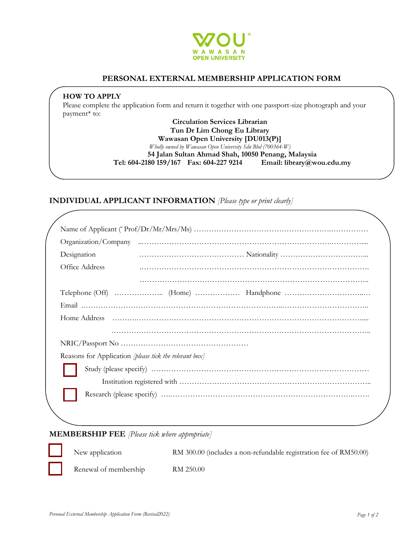

# **PERSONAL EXTERNAL MEMBERSHIP APPLICATION FORM**

### **HOW TO APPLY**

Please complete the application form and return it together with one passport-size photograph and your payment\* to:

> **Circulation Services Librarian Tun Dr Lim Chong Eu Library Wawasan Open University [DU013(P)]** *Wholly owned by Wawasan Open University Sdn Bhd (700364-W)* **54 Jalan Sultan Ahmad Shah, 10050 Penang, Malaysia Tel: 604-2180 159/167 Fax: 604-227 9214 Email: library@wou.edu.my**

## **INDIVIDUAL APPLICANT INFORMATION** *[Please type or print clearly]*

| Designation    |                                                        |
|----------------|--------------------------------------------------------|
| Office Address |                                                        |
|                |                                                        |
|                |                                                        |
|                |                                                        |
|                |                                                        |
|                |                                                        |
|                |                                                        |
|                | Reasons for Application [please tick the relevant box] |
|                |                                                        |
|                |                                                        |
|                |                                                        |
|                |                                                        |

## **MEMBERSHIP FEE** *[Please tick where appropriate]*

New application **RM 300.00** (includes a non-refundable registration fee of RM50.00)

Renewal of membership RM 250.00